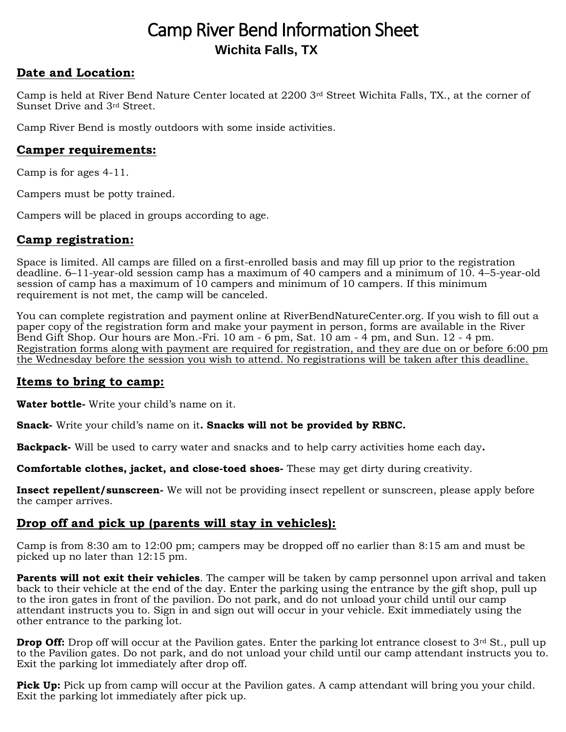# Camp River Bend Information Sheet **Wichita Falls, TX**

## **Date and Location:**

Camp is held at River Bend Nature Center located at 2200 3rd Street Wichita Falls, TX., at the corner of Sunset Drive and 3rd Street.

Camp River Bend is mostly outdoors with some inside activities.

# **Camper requirements:**

Camp is for ages 4-11.

Campers must be potty trained.

Campers will be placed in groups according to age.

# **Camp registration:**

Space is limited. All camps are filled on a first-enrolled basis and may fill up prior to the registration deadline. 6–11-year-old session camp has a maximum of 40 campers and a minimum of 10. 4–5-year-old session of camp has a maximum of 10 campers and minimum of 10 campers. If this minimum requirement is not met, the camp will be canceled.

You can complete registration and payment online at RiverBendNatureCenter.org. If you wish to fill out a paper copy of the registration form and make your payment in person, forms are available in the River Bend Gift Shop. Our hours are Mon.-Fri. 10 am - 6 pm, Sat. 10 am - 4 pm, and Sun. 12 - 4 pm. Registration forms along with payment are required for registration, and they are due on or before 6:00 pm the Wednesday before the session you wish to attend. No registrations will be taken after this deadline.

## **Items to bring to camp:**

**Water bottle-** Write your child's name on it.

**Snack-** Write your child's name on it**. Snacks will not be provided by RBNC.**

**Backpack-** Will be used to carry water and snacks and to help carry activities home each day**.** 

**Comfortable clothes, jacket, and close-toed shoes-** These may get dirty during creativity.

**Insect repellent/sunscreen-** We will not be providing insect repellent or sunscreen, please apply before the camper arrives.

# **Drop off and pick up (parents will stay in vehicles):**

Camp is from 8:30 am to 12:00 pm; campers may be dropped off no earlier than 8:15 am and must be picked up no later than 12:15 pm.

**Parents will not exit their vehicles**. The camper will be taken by camp personnel upon arrival and taken back to their vehicle at the end of the day. Enter the parking using the entrance by the gift shop, pull up to the iron gates in front of the pavilion. Do not park, and do not unload your child until our camp attendant instructs you to. Sign in and sign out will occur in your vehicle. Exit immediately using the other entrance to the parking lot.

**Drop Off:** Drop off will occur at the Pavilion gates. Enter the parking lot entrance closest to 3<sup>rd</sup> St., pull up to the Pavilion gates. Do not park, and do not unload your child until our camp attendant instructs you to. Exit the parking lot immediately after drop off.

**Pick Up:** Pick up from camp will occur at the Pavilion gates. A camp attendant will bring you your child. Exit the parking lot immediately after pick up.